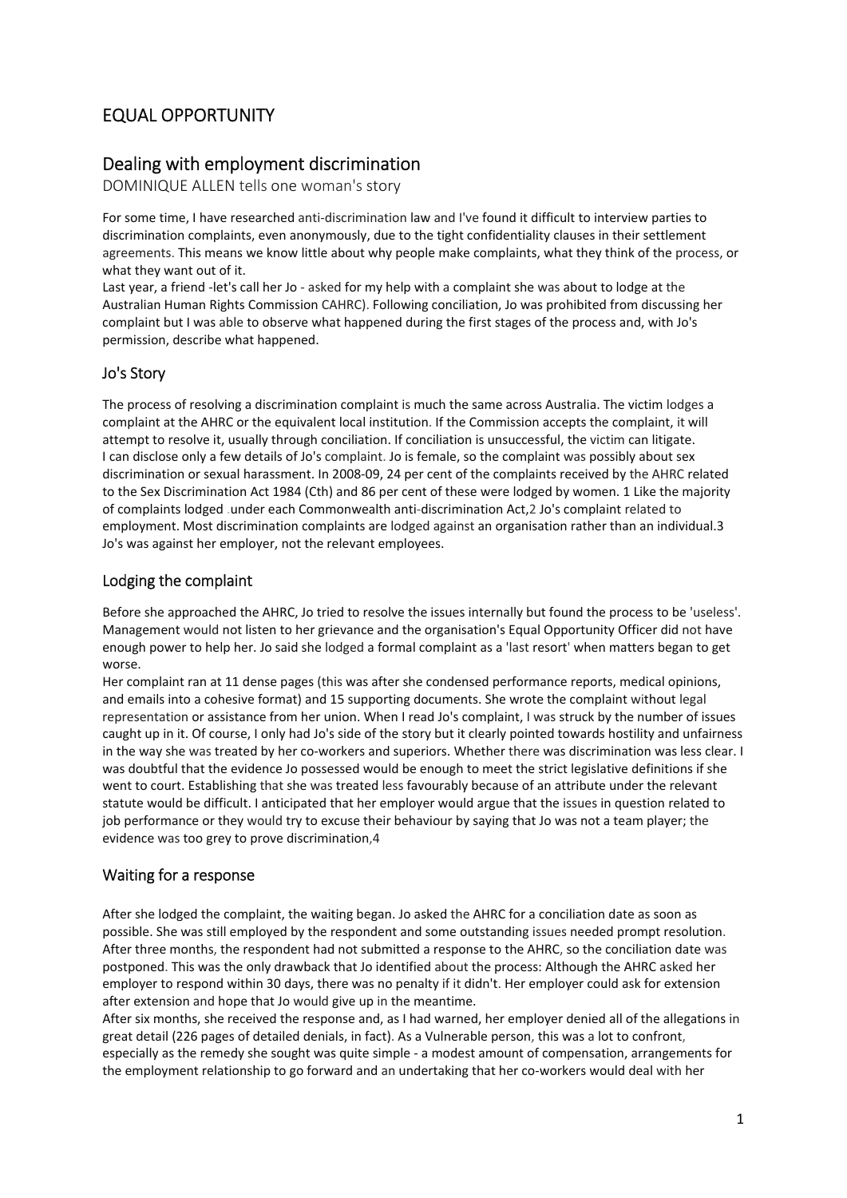# EQUAL OPPORTUNITY

## Dealing with employment discrimination

DOMINIQUE ALLEN tells one woman's story

For some time, I have researched anti‐discrimination law and I've found it difficult to interview parties to discrimination complaints, even anonymously, due to the tight confidentiality clauses in their settlement agreements. This means we know little about why people make complaints, what they think of the process, or what they want out of it.

Last year, a friend -let's call her Jo - asked for my help with a complaint she was about to lodge at the Australian Human Rights Commission CAHRC). Following conciliation, Jo was prohibited from discussing her complaint but I was able to observe what happened during the first stages of the process and, with Jo's permission, describe what happened.

### Jo's Story

The process of resolving a discrimination complaint is much the same across Australia. The victim lodges a complaint at the AHRC or the equivalent local institution. If the Commission accepts the complaint, it will attempt to resolve it, usually through conciliation. If conciliation is unsuccessful, the victim can litigate. I can disclose only a few details of Jo's complaint. Jo is female, so the complaint was possibly about sex discrimination or sexual harassment. In 2008‐09, 24 per cent of the complaints received by the AHRC related to the Sex Discrimination Act 1984 (Cth) and 86 per cent of these were lodged by women. 1 Like the majority of complaints lodged .under each Commonwealth anti‐discrimination Act,2 Jo's complaint related to employment. Most discrimination complaints are lodged against an organisation rather than an individual.3 Jo's was against her employer, not the relevant employees.

#### Lodging the complaint

Before she approached the AHRC, Jo tried to resolve the issues internally but found the process to be 'useless'. Management would not listen to her grievance and the organisation's Equal Opportunity Officer did not have enough power to help her. Jo said she lodged a formal complaint as a 'last resort' when matters began to get worse.

Her complaint ran at 11 dense pages (this was after she condensed performance reports, medical opinions, and emails into a cohesive format) and 15 supporting documents. She wrote the complaint without legal representation or assistance from her union. When I read Jo's complaint, I was struck by the number of issues caught up in it. Of course, I only had Jo's side of the story but it clearly pointed towards hostility and unfairness in the way she was treated by her co-workers and superiors. Whether there was discrimination was less clear. I was doubtful that the evidence Jo possessed would be enough to meet the strict legislative definitions if she went to court. Establishing that she was treated less favourably because of an attribute under the relevant statute would be difficult. I anticipated that her employer would argue that the issues in question related to job performance or they would try to excuse their behaviour by saying that Jo was not a team player; the evidence was too grey to prove discrimination,4

#### Waiting for a response

After she lodged the complaint, the waiting began. Jo asked the AHRC for a conciliation date as soon as possible. She was still employed by the respondent and some outstanding issues needed prompt resolution. After three months, the respondent had not submitted a response to the AHRC, so the conciliation date was postponed. This was the only drawback that Jo identified about the process: Although the AHRC asked her employer to respond within 30 days, there was no penalty if it didn't. Her employer could ask for extension after extension and hope that Jo would give up in the meantime.

After six months, she received the response and, as I had warned, her employer denied all of the allegations in great detail (226 pages of detailed denials, in fact). As a Vulnerable person, this was a lot to confront, especially as the remedy she sought was quite simple ‐ a modest amount of compensation, arrangements for the employment relationship to go forward and an undertaking that her co-workers would deal with her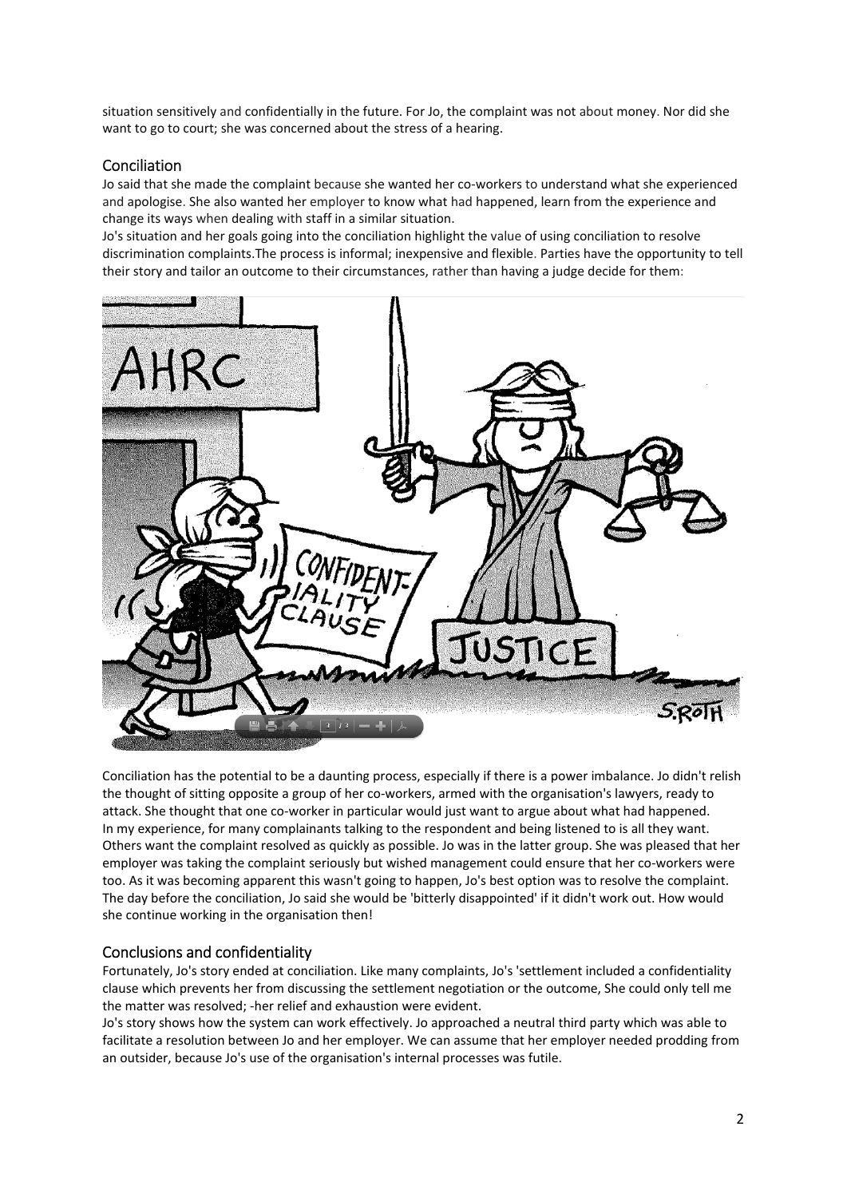situation sensitively and confidentially in the future. For Jo, the complaint was not about money. Nor did she want to go to court; she was concerned about the stress of a hearing.

### Conciliation

Jo said that she made the complaint because she wanted her co‐workers to understand what she experienced and apologise. She also wanted her employer to know what had happened, learn from the experience and change its ways when dealing with staff in a similar situation.

Jo's situation and her goals going into the conciliation highlight the value of using conciliation to resolve discrimination complaints.The process is informal; inexpensive and flexible. Parties have the opportunity to tell their story and tailor an outcome to their circumstances, rather than having a judge decide for them:



Conciliation has the potential to be a daunting process, especially if there is a power imbalance. Jo didn't relish the thought of sitting opposite a group of her co‐workers, armed with the organisation's lawyers, ready to attack. She thought that one co‐worker in particular would just want to argue about what had happened. In my experience, for many complainants talking to the respondent and being listened to is all they want. Others want the complaint resolved as quickly as possible. Jo was in the latter group. She was pleased that her employer was taking the complaint seriously but wished management could ensure that her co-workers were too. As it was becoming apparent this wasn't going to happen, Jo's best option was to resolve the complaint. The day before the conciliation, Jo said she would be 'bitterly disappointed' if it didn't work out. How would she continue working in the organisation then!

#### Conclusions and confidentiality

Fortunately, Jo's story ended at conciliation. Like many complaints, Jo's 'settlement included a confidentiality clause which prevents her from discussing the settlement negotiation or the outcome, She could only tell me the matter was resolved; ‐her relief and exhaustion were evident.

Jo's story shows how the system can work effectively. Jo approached a neutral third party which was able to facilitate a resolution between Jo and her employer. We can assume that her employer needed prodding from an outsider, because Jo's use of the organisation's internal processes was futile.